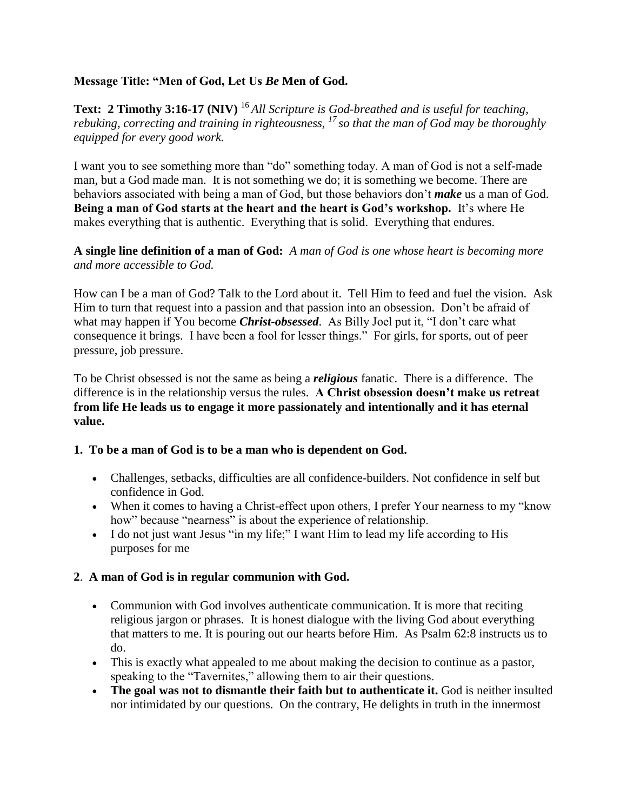### **Message Title: "Men of God, Let Us** *Be* **Men of God.**

**Text: 2 Timothy 3:16-17 (NIV)** <sup>16</sup>*All Scripture is God-breathed and is useful for teaching, rebuking, correcting and training in righteousness, <sup>17</sup>so that the man of God may be thoroughly equipped for every good work.*

I want you to see something more than "do" something today. A man of God is not a self-made man, but a God made man. It is not something we do; it is something we become. There are behaviors associated with being a man of God, but those behaviors don't *make* us a man of God. **Being a man of God starts at the heart and the heart is God's workshop.** It's where He makes everything that is authentic. Everything that is solid. Everything that endures.

### **A single line definition of a man of God:** *A man of God is one whose heart is becoming more and more accessible to God.*

How can I be a man of God? Talk to the Lord about it. Tell Him to feed and fuel the vision. Ask Him to turn that request into a passion and that passion into an obsession. Don't be afraid of what may happen if You become *Christ-obsessed*. As Billy Joel put it, "I don't care what consequence it brings. I have been a fool for lesser things." For girls, for sports, out of peer pressure, job pressure.

To be Christ obsessed is not the same as being a *religious* fanatic. There is a difference. The difference is in the relationship versus the rules. **A Christ obsession doesn't make us retreat from life He leads us to engage it more passionately and intentionally and it has eternal value.**

### **1. To be a man of God is to be a man who is dependent on God.**

- Challenges, setbacks, difficulties are all confidence-builders. Not confidence in self but confidence in God.
- When it comes to having a Christ-effect upon others, I prefer Your nearness to my "know" how" because "nearness" is about the experience of relationship.
- I do not just want Jesus "in my life;" I want Him to lead my life according to His purposes for me

# **2**. **A man of God is in regular communion with God.**

- Communion with God involves authenticate communication. It is more that reciting religious jargon or phrases. It is honest dialogue with the living God about everything that matters to me. It is pouring out our hearts before Him. As Psalm 62:8 instructs us to do.
- This is exactly what appealed to me about making the decision to continue as a pastor, speaking to the "Tavernites," allowing them to air their questions.
- **The goal was not to dismantle their faith but to authenticate it.** God is neither insulted nor intimidated by our questions. On the contrary, He delights in truth in the innermost